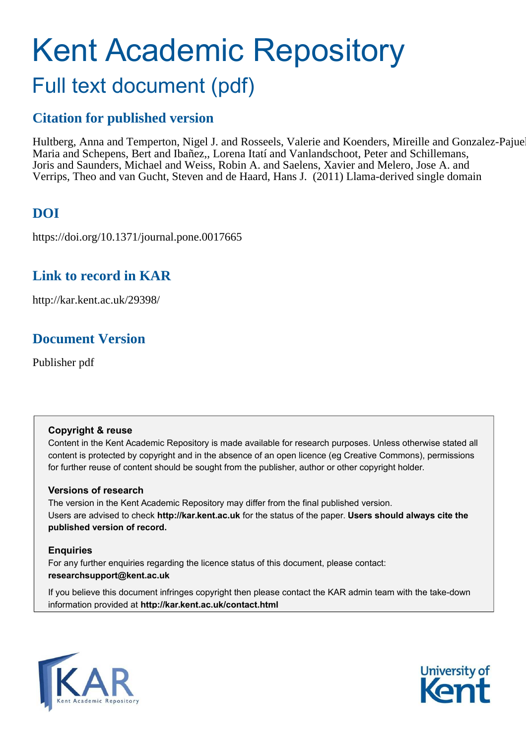# Kent Academic Repository Full text document (pdf)

# **Citation for published version**

Hultberg, Anna and Temperton, Nigel J. and Rosseels, Valerie and Koenders, Mireille and Gonzalez-Pajuel Maria and Schepens, Bert and Ibañez,, Lorena Itatí and Vanlandschoot, Peter and Schillemans, Joris and Saunders, Michael and Weiss, Robin A. and Saelens, Xavier and Melero, Jose A. and Verrips, Theo and van Gucht, Steven and de Haard, Hans J. (2011) Llama-derived single domain

# **DOI**

https://doi.org/10.1371/journal.pone.0017665

## **Link to record in KAR**

http://kar.kent.ac.uk/29398/

## **Document Version**

Publisher pdf

### **Copyright & reuse**

Content in the Kent Academic Repository is made available for research purposes. Unless otherwise stated all content is protected by copyright and in the absence of an open licence (eg Creative Commons), permissions for further reuse of content should be sought from the publisher, author or other copyright holder.

### **Versions of research**

The version in the Kent Academic Repository may differ from the final published version. Users are advised to check **http://kar.kent.ac.uk** for the status of the paper. **Users should always cite the published version of record.**

### **Enquiries**

For any further enquiries regarding the licence status of this document, please contact: **researchsupport@kent.ac.uk**

If you believe this document infringes copyright then please contact the KAR admin team with the take-down information provided at **http://kar.kent.ac.uk/contact.html**



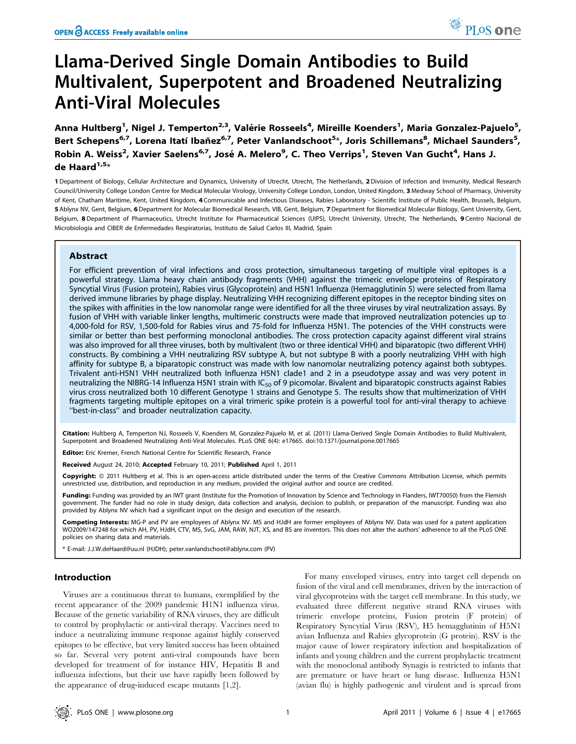# Llama-Derived Single Domain Antibodies to Build Multivalent, Superpotent and Broadened Neutralizing Anti-Viral Molecules

Anna Hultberg<sup>1</sup>, Nigel J. Temperton<sup>2,3</sup>, Valérie Rosseels<sup>4</sup>, Mireille Koenders<sup>1</sup>, Maria Gonzalez-Pajuelo<sup>5</sup>, Bert Schepens<sup>6,7</sup>, Lorena Itatí Ibañez<sup>6,7</sup>, Peter Vanlandschoot<sup>5</sup>\*, Joris Schillemans<sup>8</sup>, Michael Saunders<sup>5</sup>, Robin A. Weiss<sup>2</sup>, Xavier Saelens<sup>6,7</sup>, José A. Melero<sup>9</sup>, C. Theo Verrips<sup>1</sup>, Steven Van Gucht<sup>4</sup>, Hans J. de Haard $1.5*$ 

1 Department of Biology, Cellular Architecture and Dynamics, University of Utrecht, Utrecht, The Netherlands, 2Division of Infection and Immunity, Medical Research Council/University College London Centre for Medical Molecular Virology, University College London, London, United Kingdom, 3 Medway School of Pharmacy, University of Kent, Chatham Maritime, Kent, United Kingdom, 4 Communicable and Infectious Diseases, Rabies Laboratory - Scientific Institute of Public Health, Brussels, Belgium, 5 Ablynx NV, Gent, Belgium, 6 Department for Molecular Biomedical Research, VIB, Gent, Belgium, 7 Department for Biomedical Molecular Biology, Gent University, Gent, Belgium, 8 Department of Pharmaceutics, Utrecht Institute for Pharmaceutical Sciences (UIPS), Utrecht University, Utrecht, The Netherlands, 9 Centro Nacional de Microbiologı´a and CIBER de Enfermedades Respiratorias, Instituto de Salud Carlos III, Madrid, Spain

### Abstract

For efficient prevention of viral infections and cross protection, simultaneous targeting of multiple viral epitopes is a powerful strategy. Llama heavy chain antibody fragments (VHH) against the trimeric envelope proteins of Respiratory Syncytial Virus (Fusion protein), Rabies virus (Glycoprotein) and H5N1 Influenza (Hemagglutinin 5) were selected from llama derived immune libraries by phage display. Neutralizing VHH recognizing different epitopes in the receptor binding sites on the spikes with affinities in the low nanomolar range were identified for all the three viruses by viral neutralization assays. By fusion of VHH with variable linker lengths, multimeric constructs were made that improved neutralization potencies up to 4,000-fold for RSV, 1,500-fold for Rabies virus and 75-fold for Influenza H5N1. The potencies of the VHH constructs were similar or better than best performing monoclonal antibodies. The cross protection capacity against different viral strains was also improved for all three viruses, both by multivalent (two or three identical VHH) and biparatopic (two different VHH) constructs. By combining a VHH neutralizing RSV subtype A, but not subtype B with a poorly neutralizing VHH with high affinity for subtype B, a biparatopic construct was made with low nanomolar neutralizing potency against both subtypes. Trivalent anti-H5N1 VHH neutralized both Influenza H5N1 clade1 and 2 in a pseudotype assay and was very potent in neutralizing the NIBRG-14 Influenza H5N1 strain with IC<sub>50</sub> of 9 picomolar. Bivalent and biparatopic constructs against Rabies virus cross neutralized both 10 different Genotype 1 strains and Genotype 5. The results show that multimerization of VHH fragments targeting multiple epitopes on a viral trimeric spike protein is a powerful tool for anti-viral therapy to achieve ''best-in-class'' and broader neutralization capacity.

Citation: Hultberg A, Temperton NJ, Rosseels V, Koenders M, Gonzalez-Pajuelo M, et al. (2011) Llama-Derived Single Domain Antibodies to Build Multivalent, Superpotent and Broadened Neutralizing Anti-Viral Molecules. PLoS ONE 6(4): e17665. doi:10.1371/journal.pone.0017665

Editor: Eric Kremer, French National Centre for Scientific Research, France

Received August 24, 2010; Accepted February 10, 2011; Published April 1, 2011

Copyright: © 2011 Hultberg et al. This is an open-access article distributed under the terms of the Creative Commons Attribution License, which permits unrestricted use, distribution, and reproduction in any medium, provided the original author and source are credited.

Funding: Funding was provided by an IWT grant (Institute for the Promotion of Innovation by Science and Technology in Flanders, IWT70050) from the Flemish government. The funder had no role in study design, data collection and analysis, decision to publish, or preparation of the manuscript. Funding was also provided by Ablynx NV which had a significant input on the design and execution of the research.

Competing Interests: MG-P and PV are employees of Ablynx NV. MS and HJdH are former employees of Ablynx NV. Data was used for a patent application WO2009/147248 for which AH, PV, HJdH, CTV, MS, SvG, JAM, RAW, NJT, XS, and BS are inventors. This does not alter the authors' adherence to all the PLoS ONE policies on sharing data and materials.

\* E-mail: J.J.W.deHaard@uu.nl (HJDH); peter.vanlandschoot@ablynx.com (PV)

#### Introduction

Viruses are a continuous threat to humans, exemplified by the recent appearance of the 2009 pandemic H1N1 influenza virus. Because of the genetic variability of RNA viruses, they are difficult to control by prophylactic or anti-viral therapy. Vaccines need to induce a neutralizing immune response against highly conserved epitopes to be effective, but very limited success has been obtained so far. Several very potent anti-viral compounds have been developed for treatment of for instance HIV, Hepatitis B and influenza infections, but their use have rapidly been followed by the appearance of drug-induced escape mutants [1,2].

For many enveloped viruses, entry into target cell depends on fusion of the viral and cell membranes, driven by the interaction of viral glycoproteins with the target cell membrane. In this study, we evaluated three different negative strand RNA viruses with trimeric envelope proteins, Fusion protein (F protein) of Respiratory Syncytial Virus (RSV), H5 hemagglutinin of H5N1 avian Influenza and Rabies glycoprotein (G protein). RSV is the major cause of lower respiratory infection and hospitalization of infants and young children and the current prophylactic treatment with the monoclonal antibody Synagis is restricted to infants that are premature or have heart or lung disease. Influenza H5N1 (avian flu) is highly pathogenic and virulent and is spread from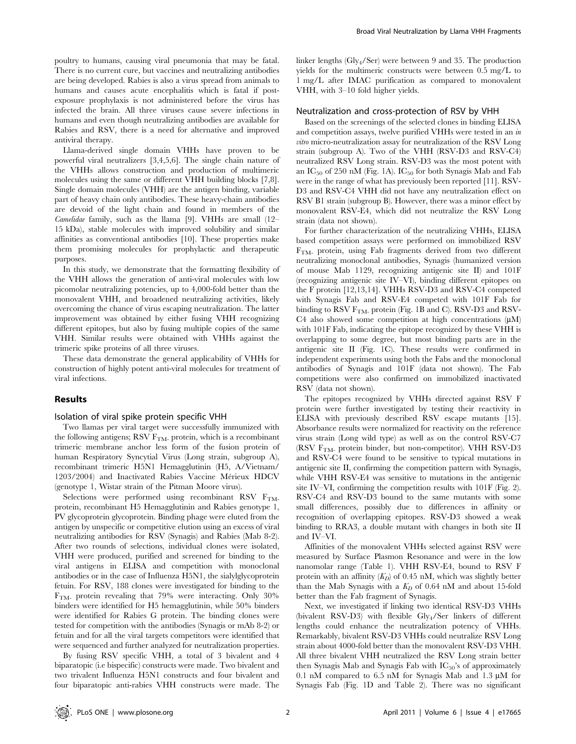poultry to humans, causing viral pneumonia that may be fatal. There is no current cure, but vaccines and neutralizing antibodies are being developed. Rabies is also a virus spread from animals to humans and causes acute encephalitis which is fatal if postexposure prophylaxis is not administered before the virus has infected the brain. All three viruses cause severe infections in humans and even though neutralizing antibodies are available for Rabies and RSV, there is a need for alternative and improved antiviral therapy.

Llama-derived single domain VHHs have proven to be powerful viral neutralizers [3,4,5,6]. The single chain nature of the VHHs allows construction and production of multimeric molecules using the same or different VHH building blocks [7,8]. Single domain molecules (VHH) are the antigen binding, variable part of heavy chain only antibodies. These heavy-chain antibodies are devoid of the light chain and found in members of the Camelidae family, such as the llama [9]. VHHs are small (12– 15 kDa), stable molecules with improved solubility and similar affinities as conventional antibodies [10]. These properties make them promising molecules for prophylactic and therapeutic purposes.

In this study, we demonstrate that the formatting flexibility of the VHH allows the generation of anti-viral molecules with low picomolar neutralizing potencies, up to 4,000-fold better than the monovalent VHH, and broadened neutralizing activities, likely overcoming the chance of virus escaping neutralization. The latter improvement was obtained by either fusing VHH recognizing different epitopes, but also by fusing multiple copies of the same VHH. Similar results were obtained with VHHs against the trimeric spike proteins of all three viruses.

These data demonstrate the general applicability of VHHs for construction of highly potent anti-viral molecules for treatment of viral infections.

#### Results

#### Isolation of viral spike protein specific VHH

Two llamas per viral target were successfully immunized with the following antigens; RSV  $F<sub>TM</sub>$  protein, which is a recombinant trimeric membrane anchor less form of the fusion protein of human Respiratory Syncytial Virus (Long strain, subgroup A), recombinant trimeric H5N1 Hemagglutinin (H5, A/Vietnam/ 1203/2004) and Inactivated Rabies Vaccine Mérieux HDCV (genotype 1, Wistar strain of the Pitman Moore virus).

Selections were performed using recombinant RSV  $F_{TM}$ . protein, recombinant H5 Hemagglutinin and Rabies genotype 1, PV glycoprotein glycoprotein. Binding phage were eluted from the antigen by unspecific or competitive elution using an excess of viral neutralizing antibodies for RSV (Synagis) and Rabies (Mab 8-2). After two rounds of selections, individual clones were isolated, VHH were produced, purified and screened for binding to the viral antigens in ELISA and competition with monoclonal antibodies or in the case of Influenza H5N1, the sialylglycoprotein fetuin. For RSV, 188 clones were investigated for binding to the FTM- protein revealing that 79% were interacting. Only 30% binders were identified for H5 hemagglutinin, while 50% binders were identified for Rabies G protein. The binding clones were tested for competition with the antibodies (Synagis or mAb 8-2) or fetuin and for all the viral targets competitors were identified that were sequenced and further analyzed for neutralization properties.

By fusing RSV specific VHH, a total of 3 bivalent and 4 biparatopic (i.e bispecific) constructs were made. Two bivalent and two trivalent Influenza H5N1 constructs and four bivalent and four biparatopic anti-rabies VHH constructs were made. The

linker lengths (Gly4/Ser) were between 9 and 35. The production yields for the multimeric constructs were between 0.5 mg/L to 1 mg/L after IMAC purification as compared to monovalent VHH, with 3–10 fold higher yields.

#### Neutralization and cross-protection of RSV by VHH

Based on the screenings of the selected clones in binding ELISA and competition assays, twelve purified VHHs were tested in an in vitro micro-neutralization assay for neutralization of the RSV Long strain (subgroup A). Two of the VHH (RSV-D3 and RSV-C4) neutralized RSV Long strain. RSV-D3 was the most potent with an  $IC_{50}$  of 250 nM (Fig. 1A).  $IC_{50}$  for both Synagis Mab and Fab were in the range of what has previously been reported [11]. RSV-D3 and RSV-C4 VHH did not have any neutralization effect on RSV B1 strain (subgroup B). However, there was a minor effect by monovalent RSV-E4, which did not neutralize the RSV Long strain (data not shown).

For further characterization of the neutralizing VHHs, ELISA based competition assays were performed on immobilized RSV  $F<sub>TM</sub>$  protein, using Fab fragments derived from two different neutralizing monoclonal antibodies, Synagis (humanized version of mouse Mab 1129, recognizing antigenic site II) and 101F (recognizing antigenic site IV–VI), binding different epitopes on the F protein [12,13,14]. VHHs RSV-D3 and RSV-C4 competed with Synagis Fab and RSV-E4 competed with 101F Fab for binding to RSV  $F<sub>TM</sub>$  protein (Fig. 1B and C). RSV-D3 and RSV-C4 also showed some competition at high concentrations  $(\mu M)$ with 101F Fab, indicating the epitope recognized by these VHH is overlapping to some degree, but most binding parts are in the antigenic site II (Fig. 1C). These results were confirmed in independent experiments using both the Fabs and the monoclonal antibodies of Synagis and 101F (data not shown). The Fab competitions were also confirmed on immobilized inactivated RSV (data not shown).

The epitopes recognized by VHHs directed against RSV F protein were further investigated by testing their reactivity in ELISA with previously described RSV escape mutants [15]. Absorbance results were normalized for reactivity on the reference virus strain (Long wild type) as well as on the control RSV-C7 (RSV  $F<sub>TM</sub>$  protein binder, but non-competitor). VHH RSV-D3 and RSV-C4 were found to be sensitive to typical mutations in antigenic site II, confirming the competition pattern with Synagis, while VHH RSV-E4 was sensitive to mutations in the antigenic site IV–VI, confirming the competition results with 101F (Fig. 2). RSV-C4 and RSV-D3 bound to the same mutants with some small differences, possibly due to differences in affinity or recognition of overlapping epitopes. RSV-D3 showed a weak binding to RRA3, a double mutant with changes in both site II and IV–VI.

Affinities of the monovalent VHHs selected against RSV were measured by Surface Plasmon Resonance and were in the low nanomolar range (Table 1). VHH RSV-E4, bound to RSV F protein with an affinity  $(K_D)$  of 0.45 nM, which was slightly better than the Mab Synagis with a  $K_D$  of 0.64 nM and about 15-fold better than the Fab fragment of Synagis.

Next, we investigated if linking two identical RSV-D3 VHHs (bivalent RSV-D3) with flexible Gly4/Ser linkers of different lengths could enhance the neutralization potency of VHHs. Remarkably, bivalent RSV-D3 VHHs could neutralize RSV Long strain about 4000-fold better than the monovalent RSV-D3 VHH. All three bivalent VHH neutralized the RSV Long strain better then Synagis Mab and Synagis Fab with  $IC_{50}$ 's of approximately 0.1 nM compared to 6.5 nM for Synagis Mab and 1.3  $\mu$ M for Synagis Fab (Fig. 1D and Table 2). There was no significant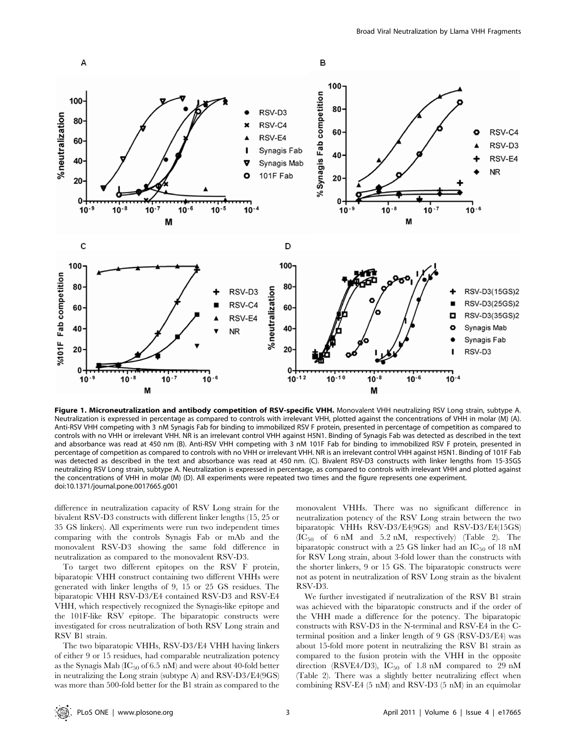

Figure 1. Microneutralization and antibody competition of RSV-specific VHH. Monovalent VHH neutralizing RSV Long strain, subtype A. Neutralization is expressed in percentage as compared to controls with irrelevant VHH, plotted against the concentrations of VHH in molar (M) (A). Anti-RSV VHH competing with 3 nM Synagis Fab for binding to immobilized RSV F protein, presented in percentage of competition as compared to controls with no VHH or irrelevant VHH. NR is an irrelevant control VHH against H5N1. Binding of Synagis Fab was detected as described in the text and absorbance was read at 450 nm (B). Anti-RSV VHH competing with 3 nM 101F Fab for binding to immobilized RSV F protein, presented in percentage of competition as compared to controls with no VHH or irrelevant VHH. NR is an irrelevant control VHH against H5N1. Binding of 101F Fab was detected as described in the text and absorbance was read at 450 nm. (C). Bivalent RSV-D3 constructs with linker lengths from 15-35GS neutralizing RSV Long strain, subtype A. Neutralization is expressed in percentage, as compared to controls with irrelevant VHH and plotted against the concentrations of VHH in molar (M) (D). All experiments were repeated two times and the figure represents one experiment. doi:10.1371/journal.pone.0017665.g001

difference in neutralization capacity of RSV Long strain for the bivalent RSV-D3 constructs with different linker lengths (15, 25 or 35 GS linkers). All experiments were run two independent times comparing with the controls Synagis Fab or mAb and the monovalent RSV-D3 showing the same fold difference in neutralization as compared to the monovalent RSV-D3.

To target two different epitopes on the RSV F protein, biparatopic VHH construct containing two different VHHs were generated with linker lengths of 9, 15 or 25 GS residues. The biparatopic VHH RSV-D3/E4 contained RSV-D3 and RSV-E4 VHH, which respectively recognized the Synagis-like epitope and the 101F-like RSV epitope. The biparatopic constructs were investigated for cross neutralization of both RSV Long strain and RSV B1 strain.

The two biparatopic VHHs, RSV-D3/E4 VHH having linkers of either 9 or 15 residues, had comparable neutralization potency as the Synagis Mab ( $IC_{50}$  of 6.5 nM) and were about 40-fold better in neutralizing the Long strain (subtype A) and RSV-D3/E4(9GS) was more than 500-fold better for the B1 strain as compared to the monovalent VHHs. There was no significant difference in neutralization potency of the RSV Long strain between the two biparatopic VHHs RSV-D3/E4(9GS) and RSV-D3/E4(15GS)  $(IC_{50}$  of 6 nM and 5.2 nM, respectively) (Table 2). The biparatopic construct with a 25 GS linker had an  $IC_{50}$  of 18 nM for RSV Long strain, about 3-fold lower than the constructs with the shorter linkers, 9 or 15 GS. The biparatopic constructs were not as potent in neutralization of RSV Long strain as the bivalent RSV-D3.

We further investigated if neutralization of the RSV B1 strain was achieved with the biparatopic constructs and if the order of the VHH made a difference for the potency. The biparatopic constructs with RSV-D3 in the N-terminal and RSV-E4 in the Cterminal position and a linker length of 9 GS (RSV-D3/E4) was about 15-fold more potent in neutralizing the RSV B1 strain as compared to the fusion protein with the VHH in the opposite direction (RSVE4/D3),  $IC_{50}$  of 1.8 nM compared to 29 nM (Table 2). There was a slightly better neutralizing effect when combining RSV-E4 (5 nM) and RSV-D3 (5 nM) in an equimolar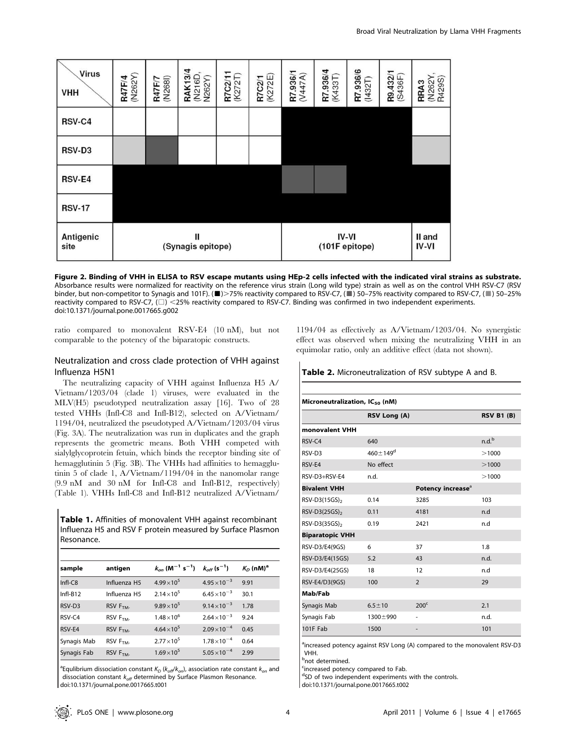

Figure 2. Binding of VHH in ELISA to RSV escape mutants using HEp-2 cells infected with the indicated viral strains as substrate. Absorbance results were normalized for reactivity on the reference virus strain (Long wild type) strain as well as on the control VHH RSV-C7 (RSV binder, but non-competitor to Synagis and 101F). ( $\blacksquare$ )>75% reactivity compared to RSV-C7, ( $\blacksquare$ ) 50–75% reactivity compared to RSV-C7, ( $\blacksquare$ ) 50–25% reactivity compared to RSV-C7,  $(\square)$  <25% reactivity compared to RSV-C7. Binding was confirmed in two independent experiments. doi:10.1371/journal.pone.0017665.g002

ratio compared to monovalent RSV-E4 (10 nM), but not comparable to the potency of the biparatopic constructs.

#### Neutralization and cross clade protection of VHH against Influenza H5N1

The neutralizing capacity of VHH against Influenza H5 A/ Vietnam/1203/04 (clade 1) viruses, were evaluated in the MLV(H5) pseudotyped neutralization assay [16]. Two of 28 tested VHHs (Infl-C8 and Infl-B12), selected on A/Vietnam/ 1194/04, neutralized the pseudotyped A/Vietnam/1203/04 virus (Fig. 3A). The neutralization was run in duplicates and the graph represents the geometric means. Both VHH competed with sialylglycoprotein fetuin, which binds the receptor binding site of hemagglutinin 5 (Fig. 3B). The VHHs had affinities to hemagglutinin 5 of clade 1, A/Vietnam/1194/04 in the nanomolar range (9.9 nM and 30 nM for Infl-C8 and Infl-B12, respectively) (Table 1). VHHs Infl-C8 and Infl-B12 neutralized A/Vietnam/

Table 1. Affinities of monovalent VHH against recombinant Influenza H5 and RSV F protein measured by Surface Plasmon Resonance.

| sample      | antigen              | $k_{on}$ (M <sup>-1</sup> s <sup>-1</sup> ) | $k_{off}$ (s <sup>-1</sup> ) | $K_D$ (nM) <sup>a</sup> |
|-------------|----------------------|---------------------------------------------|------------------------------|-------------------------|
| Infl-C8     | Influenza H5         | $4.99 \times 10^{5}$                        | $4.95 \times 10^{-3}$        | 9.91                    |
| Infl-B12    | Influenza H5         | $2.14 \times 10^5$                          | $6.45 \times 10^{-3}$        | 30.1                    |
| RSV-D3      | RSV F <sub>TM-</sub> | $9.89 \times 10^{5}$                        | $9.14 \times 10^{-3}$        | 1.78                    |
| RSV-C4      | RSV F <sub>TM</sub>  | $1.48 \times 10^{6}$                        | $2.64 \times 10^{-3}$        | 9.24                    |
| RSV-E4      | RSV F <sub>TM-</sub> | $4.64 \times 10^{5}$                        | $2.09\times10^{-4}$          | 0.45                    |
| Synagis Mab | $RSV$ $FTM$          | $2.77 \times 10^{5}$                        | $1.78 \times 10^{-4}$        | 0.64                    |
| Synagis Fab | $RSV$ $FTM$          | $1.69\times10^{5}$                          | $5.05 \times 10^{-4}$        | 2.99                    |

<sup>a</sup> Equlibrium dissociation constant  $K_D$  ( $k_{off}/k_{on}$ ), association rate constant  $k_{on}$  and dissociation constant  $k_{off}$  determined by Surface Plasmon Resonance. doi:10.1371/journal.pone.0017665.t001

1194/04 as effectively as A/Vietnam/1203/04. No synergistic effect was observed when mixing the neutralizing VHH in an equimolar ratio, only an additive effect (data not shown).

Table 2. Microneutralization of RSV subtype A and B.

| Microneutralization, IC <sub>50</sub> (nM) |                       |                               |                   |  |
|--------------------------------------------|-----------------------|-------------------------------|-------------------|--|
|                                            | RSV Long (A)          |                               | <b>RSV B1 (B)</b> |  |
| monovalent VHH                             |                       |                               |                   |  |
| RSV-C4                                     | 640                   |                               | n.d. <sup>b</sup> |  |
| RSV-D3                                     | $460 \pm 149^{\rm d}$ |                               | >1000             |  |
| RSV-E4                                     | No effect             |                               | >1000             |  |
| RSV-D3+RSV-E4                              | n.d.                  |                               | >1000             |  |
| <b>Bivalent VHH</b>                        |                       | Potency increase <sup>a</sup> |                   |  |
| RSV-D3(15GS) <sub>2</sub>                  | 0.14                  | 3285                          | 103               |  |
| RSV-D3(25GS) <sub>2</sub>                  | 0.11                  | 4181                          | n.d               |  |
| $RSV-D3(35GS)$ ,                           | 0.19                  | 2421                          | n.d               |  |
| <b>Biparatopic VHH</b>                     |                       |                               |                   |  |
| RSV-D3/E4(9GS)                             | 6                     | 37                            | 1.8               |  |
| RSV-D3/E4(15GS)                            | 5.2                   | 43                            | n.d.              |  |
| RSV-D3/E4(25GS)                            | 18                    | 12                            | n.d               |  |
| RSV-E4/D3(9GS)                             | 100                   | $\overline{2}$                | 29                |  |
| Mab/Fab                                    |                       |                               |                   |  |
| Synagis Mab                                | $6.5 \pm 10$          | 200 <sup>c</sup>              | 2.1               |  |
| Synagis Fab                                | $1300 \pm 990$        |                               | n.d.              |  |
| 101F Fab                                   | 1500                  |                               | 101               |  |

<sup>a</sup>increased potency against RSV Long (A) compared to the monovalent RSV-D3 VHH.

**b**not determined.

<sup>c</sup>increased potency compared to Fab.

dSD of two independent experiments with the controls.

doi:10.1371/journal.pone.0017665.t002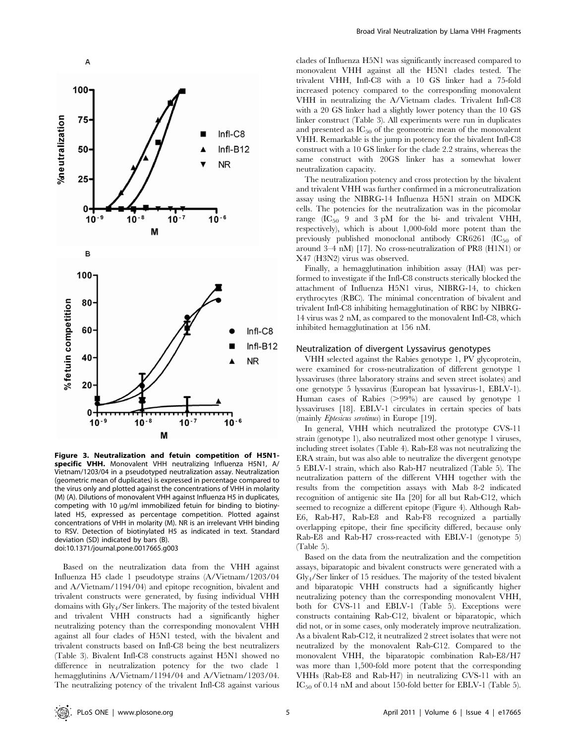

Figure 3. Neutralization and fetuin competition of H5N1 specific VHH. Monovalent VHH neutralizing Influenza H5N1, A/ Vietnam/1203/04 in a pseudotyped neutralization assay. Neutralization (geometric mean of duplicates) is expressed in percentage compared to the virus only and plotted against the concentrations of VHH in molarity (M) (A). Dilutions of monovalent VHH against Influenza H5 in duplicates, competing with 10  $\mu$ g/ml immobilized fetuin for binding to biotinylated H5, expressed as percentage competition. Plotted against concentrations of VHH in molarity (M). NR is an irrelevant VHH binding to RSV. Detection of biotinylated H5 as indicated in text. Standard deviation (SD) indicated by bars (B). doi:10.1371/journal.pone.0017665.g003

Based on the neutralization data from the VHH against Influenza H5 clade 1 pseudotype strains (A/Vietnam/1203/04 and A/Vietnam/1194/04) and epitope recognition, bivalent and trivalent constructs were generated, by fusing individual VHH domains with Gly4/Ser linkers. The majority of the tested bivalent and trivalent VHH constructs had a significantly higher neutralizing potency than the corresponding monovalent VHH against all four clades of H5N1 tested, with the bivalent and trivalent constructs based on Infl-C8 being the best neutralizers (Table 3). Bivalent Infl-C8 constructs against H5N1 showed no difference in neutralization potency for the two clade 1 hemagglutinins A/Vietnam/1194/04 and A/Vietnam/1203/04. The neutralizing potency of the trivalent Infl-C8 against various clades of Influenza H5N1 was significantly increased compared to monovalent VHH against all the H5N1 clades tested. The trivalent VHH, Infl-C8 with a 10 GS linker had a 75-fold increased potency compared to the corresponding monovalent VHH in neutralizing the A/Vietnam clades. Trivalent Infl-C8 with a 20 GS linker had a slightly lower potency than the 10 GS linker construct (Table 3). All experiments were run in duplicates and presented as  $IC_{50}$  of the geomeotric mean of the monovalent VHH. Remarkable is the jump in potency for the bivalent Infl-C8 construct with a 10 GS linker for the clade 2.2 strains, whereas the same construct with 20GS linker has a somewhat lower neutralization capacity.

The neutralization potency and cross protection by the bivalent and trivalent VHH was further confirmed in a microneutralization assay using the NIBRG-14 Influenza H5N1 strain on MDCK cells. The potencies for the neutralization was in the picomolar range  $(IC_{50}$  9 and 3 pM for the bi- and trivalent VHH, respectively), which is about 1,000-fold more potent than the previously published monoclonal antibody  $CR6261$  ( $IC_{50}$  of around 3–4 nM) [17]. No cross-neutralization of PR8 (H1N1) or X47 (H3N2) virus was observed.

Finally, a hemagglutination inhibition assay (HAI) was performed to investigate if the Infl-C8 constructs sterically blocked the attachment of Influenza H5N1 virus, NIBRG-14, to chicken erythrocytes (RBC). The minimal concentration of bivalent and trivalent Infl-C8 inhibiting hemagglutination of RBC by NIBRG-14 virus was 2 nM, as compared to the monovalent Infl-C8, which inhibited hemagglutination at 156 nM.

#### Neutralization of divergent Lyssavirus genotypes

VHH selected against the Rabies genotype 1, PV glycoprotein, were examined for cross-neutralization of different genotype 1 lyssaviruses (three laboratory strains and seven street isolates) and one genotype 5 lyssavirus (European bat lyssavirus-1, EBLV-1). Human cases of Rabies  $(>99\%)$  are caused by genotype 1 lyssaviruses [18]. EBLV-1 circulates in certain species of bats (mainly Eptesicus serotinus) in Europe [19].

In general, VHH which neutralized the prototype CVS-11 strain (genotype 1), also neutralized most other genotype 1 viruses, including street isolates (Table 4). Rab-E8 was not neutralizing the ERA strain, but was also able to neutralize the divergent genotype 5 EBLV-1 strain, which also Rab-H7 neutralized (Table 5). The neutralization pattern of the different VHH together with the results from the competition assays with Mab 8-2 indicated recognition of antigenic site IIa [20] for all but Rab-C12, which seemed to recognize a different epitope (Figure 4). Although Rab-E6, Rab-H7, Rab-E8 and Rab-F8 recognized a partially overlapping epitope, their fine specificity differed, because only Rab-E8 and Rab-H7 cross-reacted with EBLV-1 (genotype 5) (Table 5).

Based on the data from the neutralization and the competition assays, biparatopic and bivalent constructs were generated with a Gly4/Ser linker of 15 residues. The majority of the tested bivalent and biparatopic VHH constructs had a significantly higher neutralizing potency than the corresponding monovalent VHH, both for CVS-11 and EBLV-1 (Table 5). Exceptions were constructs containing Rab-C12, bivalent or biparatopic, which did not, or in some cases, only moderately improve neutralization. As a bivalent Rab-C12, it neutralized 2 street isolates that were not neutralized by the monovalent Rab-C12. Compared to the monovalent VHH, the biparatopic combination Rab-E8/H7 was more than 1,500-fold more potent that the corresponding VHHs (Rab-E8 and Rab-H7) in neutralizing CVS-11 with an IC<sub>50</sub> of 0.14 nM and about 150-fold better for EBLV-1 (Table 5).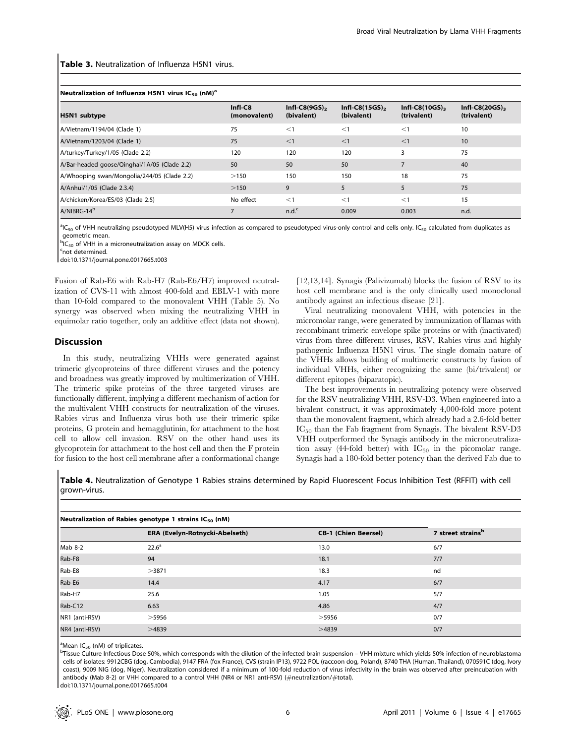#### Table 3. Neutralization of Influenza H5N1 virus.

#### Neutralization of Influenza H5N1 virus IC<sub>50</sub> (nM)<sup>a</sup>

| H5N1 subtype                                 | $Infl-C8$<br>(monovalent) | $Infl-C8(9GS)$ ,<br>(bivalent) | $InfI-C8(15GS)$ ,<br>(bivalent) | $Infl-C8(10GS)$ <sub>3</sub><br>(trivalent) | Infl-C8 $(20GS)$ <sub>3</sub><br>(trivalent) |
|----------------------------------------------|---------------------------|--------------------------------|---------------------------------|---------------------------------------------|----------------------------------------------|
| A/Vietnam/1194/04 (Clade 1)                  | 75                        | $\leq$ 1                       | $\leq$ 1                        | $\leq$ 1                                    | 10                                           |
| A/Vietnam/1203/04 (Clade 1)                  | 75                        | <1                             | <1                              | $\leq$ 1                                    | 10                                           |
| A/turkey/Turkey/1/05 (Clade 2.2)             | 120                       | 120                            | 120                             | 3                                           | 75                                           |
| A/Bar-headed goose/Qinghai/1A/05 (Clade 2.2) | 50                        | 50                             | 50                              |                                             | 40                                           |
| A/Whooping swan/Mongolia/244/05 (Clade 2.2)  | >150                      | 150                            | 150                             | 18                                          | 75                                           |
| A/Anhui/1/05 (Clade 2.3.4)                   | >150                      | 9                              | 5                               | 5                                           | 75                                           |
| A/chicken/Korea/ES/03 (Clade 2.5)            | No effect                 | $\leq$ 1                       | $\leq$ 1                        | $\leq$ 1                                    | 15                                           |
| A/NIBRG-14 <sup>b</sup>                      |                           | n.d. <sup>c</sup>              | 0.009                           | 0.003                                       | n.d.                                         |

<sup>a</sup>IC<sub>50</sub> of VHH neutralizing pseudotyped MLV(H5) virus infection as compared to pseudotyped virus-only control and cells only. IC<sub>50</sub> calculated from duplicates as geometric mean.

 ${}^{b}IC_{50}$  of VHH in a microneutralization assay on MDCK cells.

<sup>c</sup>not determined.

doi:10.1371/journal.pone.0017665.t003

Fusion of Rab-E6 with Rab-H7 (Rab-E6/H7) improved neutralization of CVS-11 with almost 400-fold and EBLV-1 with more than 10-fold compared to the monovalent VHH (Table 5). No synergy was observed when mixing the neutralizing VHH in equimolar ratio together, only an additive effect (data not shown).

#### Discussion

In this study, neutralizing VHHs were generated against trimeric glycoproteins of three different viruses and the potency and broadness was greatly improved by multimerization of VHH. The trimeric spike proteins of the three targeted viruses are functionally different, implying a different mechanism of action for the multivalent VHH constructs for neutralization of the viruses. Rabies virus and Influenza virus both use their trimeric spike proteins, G protein and hemagglutinin, for attachment to the host cell to allow cell invasion. RSV on the other hand uses its glycoprotein for attachment to the host cell and then the F protein for fusion to the host cell membrane after a conformational change

[12,13,14]. Synagis (Palivizumab) blocks the fusion of RSV to its host cell membrane and is the only clinically used monoclonal antibody against an infectious disease [21].

Viral neutralizing monovalent VHH, with potencies in the micromolar range, were generated by immunization of llamas with recombinant trimeric envelope spike proteins or with (inactivated) virus from three different viruses, RSV, Rabies virus and highly pathogenic Influenza H5N1 virus. The single domain nature of the VHHs allows building of multimeric constructs by fusion of individual VHHs, either recognizing the same (bi/trivalent) or different epitopes (biparatopic).

The best improvements in neutralizing potency were observed for the RSV neutralizing VHH, RSV-D3. When engineered into a bivalent construct, it was approximately 4,000-fold more potent than the monovalent fragment, which already had a 2.6-fold better IC<sup>50</sup> than the Fab fragment from Synagis. The bivalent RSV-D3 VHH outperformed the Synagis antibody in the microneutralization assay (44-fold better) with  $IC_{50}$  in the picomolar range. Synagis had a 180-fold better potency than the derived Fab due to

Table 4. Neutralization of Genotype 1 Rabies strains determined by Rapid Fluorescent Focus Inhibition Test (RFFIT) with cell grown-virus.

|                | . .<br>--                      |                             |                               |
|----------------|--------------------------------|-----------------------------|-------------------------------|
|                | ERA (Evelyn-Rotnycki-Abelseth) | <b>CB-1 (Chien Beersel)</b> | 7 street strains <sup>b</sup> |
| Mab 8-2        | $22.6^{\circ}$                 | 13.0                        | 6/7                           |
| Rab-F8         | 94                             | 18.1                        | 7/7                           |
| Rab-E8         | >3871                          | 18.3                        | nd                            |
| Rab-E6         | 14.4                           | 4.17                        | 6/7                           |
| Rab-H7         | 25.6                           | 1.05                        | 5/7                           |
| Rab-C12        | 6.63                           | 4.86                        | 4/7                           |
| NR1 (anti-RSV) | $>$ 5956                       | >5956                       | 0/7                           |
| NR4 (anti-RSV) | >4839                          | >4839                       | 0/7                           |

#### Neutralization of Rabies genotype 1 strains  $IC_{50}$  (nM)

<sup>a</sup>Mean IC<sub>50</sub> (nM) of triplicates.

b<br>Tissue Culture Infectious Dose 50%, which corresponds with the dilution of the infected brain suspension – VHH mixture which yields 50% infection of neuroblastoma cells of isolates: 9912CBG (dog, Cambodia), 9147 FRA (fox France), CVS (strain IP13), 9722 POL (raccoon dog, Poland), 8740 THA (Human, Thailand), 070591C (dog, Ivory coast), 9009 NIG (dog, Niger). Neutralization considered if a minimum of 100-fold reduction of virus infectivity in the brain was observed after preincubation with antibody (Mab 8-2) or VHH compared to a control VHH (NR4 or NR1 anti-RSV) (#neutralization/#total). doi:10.1371/journal.pone.0017665.t004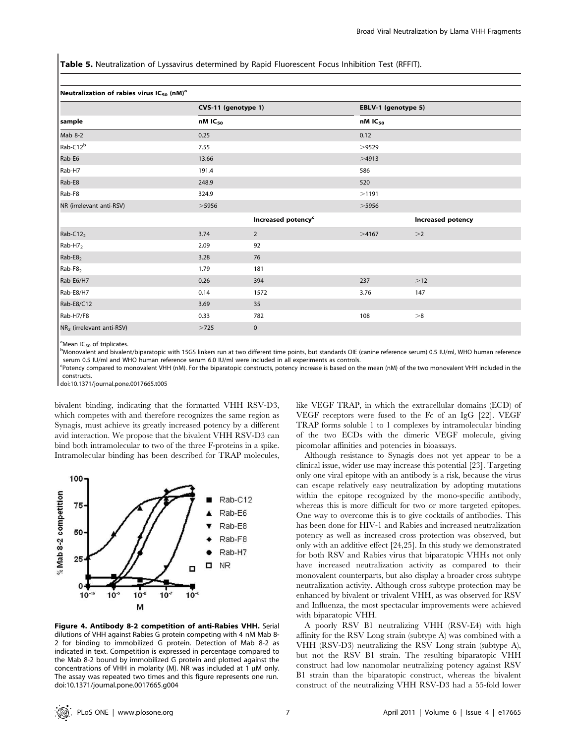Table 5. Neutralization of Lyssavirus determined by Rapid Fluorescent Focus Inhibition Test (RFFIT).

| Neutralization of rabies virus IC <sub>50</sub> (nM) <sup>a</sup> |       |                                              |       |                                              |  |  |
|-------------------------------------------------------------------|-------|----------------------------------------------|-------|----------------------------------------------|--|--|
|                                                                   |       | CVS-11 (genotype 1)<br>$nM$ IC <sub>50</sub> |       | EBLV-1 (genotype 5)<br>$nM$ IC <sub>50</sub> |  |  |
| sample                                                            |       |                                              |       |                                              |  |  |
| Mab 8-2                                                           | 0.25  |                                              | 0.12  |                                              |  |  |
| Rab-C12 <sup>b</sup>                                              | 7.55  |                                              | >9529 |                                              |  |  |
| Rab-E6                                                            | 13.66 |                                              | >4913 |                                              |  |  |
| Rab-H7                                                            | 191.4 |                                              | 586   |                                              |  |  |
| Rab-E8                                                            | 248.9 |                                              | 520   |                                              |  |  |
| Rab-F8                                                            | 324.9 |                                              | >1191 |                                              |  |  |
| NR (irrelevant anti-RSV)                                          | >5956 |                                              |       | >5956                                        |  |  |
|                                                                   |       | Increased potency <sup>c</sup>               |       | <b>Increased potency</b>                     |  |  |
| $Rab-C122$                                                        | 3.74  | $\overline{2}$                               | >4167 | >2                                           |  |  |
| Rab-H7 <sub>2</sub>                                               | 2.09  | 92                                           |       |                                              |  |  |
| $Rab-E82$                                                         | 3.28  | 76                                           |       |                                              |  |  |
| Rab-F8 <sub>2</sub>                                               | 1.79  | 181                                          |       |                                              |  |  |
| Rab-E6/H7                                                         | 0.26  | 394                                          | 237   | $>12$                                        |  |  |
| Rab-E8/H7                                                         | 0.14  | 1572                                         | 3.76  | 147                                          |  |  |
| Rab-E8/C12                                                        | 3.69  | 35                                           |       |                                              |  |  |
| Rab-H7/F8                                                         | 0.33  | 782                                          | 108   | >8                                           |  |  |
| NR <sub>2</sub> (irrelevant anti-RSV)                             | >725  | $\mathbf 0$                                  |       |                                              |  |  |

<sup>a</sup>Mean IC<sub>50</sub> of triplicates.

Monovalent and bivalent/biparatopic with 15GS linkers run at two different time points, but standards OIE (canine reference serum) 0.5 IU/ml, WHO human reference serum 0.5 IU/ml and WHO human reference serum 6.0 IU/ml were included in all experiments as controls.

c Potency compared to monovalent VHH (nM). For the biparatopic constructs, potency increase is based on the mean (nM) of the two monovalent VHH included in the constructs.

doi:10.1371/journal.pone.0017665.t005

bivalent binding, indicating that the formatted VHH RSV-D3, which competes with and therefore recognizes the same region as Synagis, must achieve its greatly increased potency by a different avid interaction. We propose that the bivalent VHH RSV-D3 can bind both intramolecular to two of the three F-proteins in a spike. Intramolecular binding has been described for TRAP molecules,



Figure 4. Antibody 8-2 competition of anti-Rabies VHH. Serial dilutions of VHH against Rabies G protein competing with 4 nM Mab 8- 2 for binding to immobilized G protein. Detection of Mab 8-2 as indicated in text. Competition is expressed in percentage compared to the Mab 8-2 bound by immobilized G protein and plotted against the concentrations of VHH in molarity (M). NR was included at 1  $\mu$ M only. The assay was repeated two times and this figure represents one run. doi:10.1371/journal.pone.0017665.g004

like VEGF TRAP, in which the extracellular domains (ECD) of VEGF receptors were fused to the Fc of an IgG [22]. VEGF TRAP forms soluble 1 to 1 complexes by intramolecular binding of the two ECDs with the dimeric VEGF molecule, giving picomolar affinities and potencies in bioassays.

Although resistance to Synagis does not yet appear to be a clinical issue, wider use may increase this potential [23]. Targeting only one viral epitope with an antibody is a risk, because the virus can escape relatively easy neutralization by adopting mutations within the epitope recognized by the mono-specific antibody, whereas this is more difficult for two or more targeted epitopes. One way to overcome this is to give cocktails of antibodies. This has been done for HIV-1 and Rabies and increased neutralization potency as well as increased cross protection was observed, but only with an additive effect [24,25]. In this study we demonstrated for both RSV and Rabies virus that biparatopic VHHs not only have increased neutralization activity as compared to their monovalent counterparts, but also display a broader cross subtype neutralization activity. Although cross subtype protection may be enhanced by bivalent or trivalent VHH, as was observed for RSV and Influenza, the most spectacular improvements were achieved with biparatopic VHH.

A poorly RSV B1 neutralizing VHH (RSV-E4) with high affinity for the RSV Long strain (subtype A) was combined with a VHH (RSV-D3) neutralizing the RSV Long strain (subtype A), but not the RSV B1 strain. The resulting biparatopic VHH construct had low nanomolar neutralizing potency against RSV B1 strain than the biparatopic construct, whereas the bivalent construct of the neutralizing VHH RSV-D3 had a 55-fold lower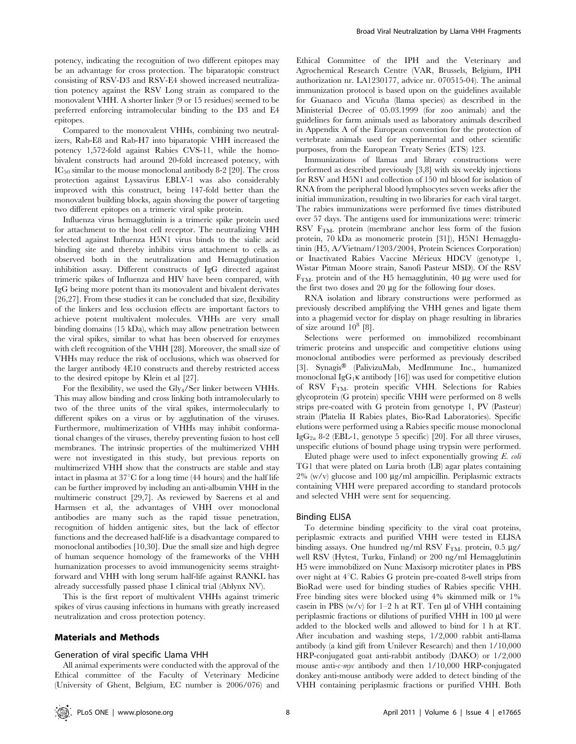potency, indicating the recognition of two different epitopes may be an advantage for cross protection. The biparatopic construct consisting of RSV-D3 and RSV-E4 showed increased neutralization potency against the RSV Long strain as compared to the monovalent VHH. A shorter linker (9 or 15 residues) seemed to be preferred enforcing intramolecular binding to the D3 and E4 epitopes.

Compared to the monovalent VHHs, combining two neutralizers, Rab-E8 and Rab-H7 into biparatopic VHH increased the potency 1,572-fold against Rabies CVS-11, while the homobivalent constructs had around 20-fold increased potency, with  $IC_{50}$  similar to the mouse monoclonal antibody 8-2 [20]. The cross protection against Lyssavirus EBLV-1 was also considerably improved with this construct, being 147-fold better than the monovalent building blocks, again showing the power of targeting two different epitopes on a trimeric viral spike protein.

Influenza virus hemagglutinin is a trimeric spike protein used for attachment to the host cell receptor. The neutralizing VHH selected against Influenza H5N1 virus binds to the sialic acid binding site and thereby inhibits virus attachment to cells as observed both in the neutralization and Hemagglutination inhibition assay. Different constructs of IgG directed against trimeric spikes of Influenza and HIV have been compared, with IgG being more potent than its monovalent and bivalent derivates [26,27]. From these studies it can be concluded that size, flexibility of the linkers and less occlusion effects are important factors to achieve potent multivalent molecules. VHHs are very small binding domains (15 kDa), which may allow penetration between the viral spikes, similar to what has been observed for enzymes with cleft recognition of the VHH [28]. Moreover, the small size of VHHs may reduce the risk of occlusions, which was observed for the larger antibody 4E10 constructs and thereby restricted access to the desired epitope by Klein et al [27].

For the flexibility, we used the Gly<sub>4</sub>/Ser linker between VHHs. This may allow binding and cross linking both intramolecularly to two of the three units of the viral spikes, intermolecularly to different spikes on a virus or by agglutination of the viruses. Furthermore, multimerization of VHHs may inhibit conformational changes of the viruses, thereby preventing fusion to host cell membranes. The intrinsic properties of the multimerized VHH were not investigated in this study, but previous reports on multimerized VHH show that the constructs are stable and stay intact in plasma at  $37^{\circ}$ C for a long time (44 hours) and the half life can be further improved by including an anti-albumin VHH in the multimeric construct [29,7]. As reviewed by Saerens et al and Harmsen et al, the advantages of VHH over monoclonal antibodies are many such as the rapid tissue penetration, recognition of hidden antigenic sites, but the lack of effector functions and the decreased half-life is a disadvantage compared to monoclonal antibodies [10,30]. Due the small size and high degree of human sequence homology of the frameworks of the VHH humanization processes to avoid immunogenicity seems straightforward and VHH with long serum half-life against RANKL has already successfully passed phase I clinical trial (Ablynx NV).

This is the first report of multivalent VHHs against trimeric spikes of virus causing infections in humans with greatly increased neutralization and cross protection potency.

#### Materials and Methods

#### Generation of viral specific Llama VHH

All animal experiments were conducted with the approval of the Ethical committee of the Faculty of Veterinary Medicine (University of Ghent, Belgium, EC number is 2006/076) and Ethical Committee of the IPH and the Veterinary and Agrochemical Research Centre (VAR, Brussels, Belgium, IPH authorization nr. LA1230177, advice nr. 070515-04). The animal immunization protocol is based upon on the guidelines available for Guanaco and Vicuña (llama species) as described in the Ministerial Decree of 05.03.1999 (for zoo animals) and the guidelines for farm animals used as laboratory animals described in Appendix A of the European convention for the protection of vertebrate animals used for experimental and other scientific purposes, from the European Treaty Series (ETS) 123.

Immunizations of llamas and library constructions were performed as described previously [3,8] with six weekly injections for RSV and H5N1 and collection of 150 ml blood for isolation of RNA from the peripheral blood lymphocytes seven weeks after the initial immunization, resulting in two libraries for each viral target. The rabies immunizations were performed five times distributed over 57 days. The antigens used for immunizations were: trimeric RSV  $F<sub>TM</sub>$  protein (membrane anchor less form of the fusion protein, 70 kDa as monomeric protein [31]), H5N1 Hemagglutinin (H5, A/Vietnam/1203/2004, Protein Sciences Corporation) or Inactivated Rabies Vaccine Mérieux HDCV (genotype 1, Wistar Pitman Moore strain, Sanofi Pasteur MSD). Of the RSV  $F<sub>TM</sub>$ - protein and of the H5 hemagglutinin, 40  $\mu$ g were used for the first two doses and  $20 \mu g$  for the following four doses.

RNA isolation and library constructions were performed as previously described amplifying the VHH genes and ligate them into a phagemid vector for display on phage resulting in libraries of size around  $10^8$  [8].

Selections were performed on immobilized recombinant trimeric proteins and unspecific and competitive elutions using monoclonal antibodies were performed as previously described [3]. Synagis® (PalivizuMab, MedImmune Inc., humanized monoclonal IgG<sub>1</sub> $\kappa$  antibody [16]) was used for competitive elution of RSV FTM- protein specific VHH. Selections for Rabies glycoprotein (G protein) specific VHH were performed on 8 wells strips pre-coated with G protein from genotype 1, PV (Pasteur) strain (Platelia II Rabies plates, Bio-Rad Laboratories). Specific elutions were performed using a Rabies specific mouse monoclonal Ig $G_{2a}$  8-2 (EBL-1, genotype 5 specific) [20]. For all three viruses, unspecific elutions of bound phage using trypsin were performed.

Eluted phage were used to infect exponentially growing  $E$ .  $\textit{coli}$ TG1 that were plated on Luria broth (LB) agar plates containing  $2\%$  (w/v) glucose and 100  $\mu$ g/ml ampicillin. Periplasmic extracts containing VHH were prepared according to standard protocols and selected VHH were sent for sequencing.

#### Binding ELISA

To determine binding specificity to the viral coat proteins, periplasmic extracts and purified VHH were tested in ELISA binding assays. One hundred ng/ml RSV  $F<sub>TM</sub>$ -protein, 0.5  $\mu$ g/ well RSV (Hytest, Turku, Finland) or 200 ng/ml Hemagglutinin H5 were immobilized on Nunc Maxisorp microtiter plates in PBS over night at  $4^{\circ}$ C. Rabies G protein pre-coated 8-well strips from BioRad were used for binding studies of Rabies specific VHH. Free binding sites were blocked using 4% skimmed milk or 1% casein in PBS (w/v) for  $1-2$  h at RT. Ten  $\mu$ l of VHH containing periplasmic fractions or dilutions of purified VHH in  $100 \mu l$  were added to the blocked wells and allowed to bind for 1 h at RT. After incubation and washing steps, 1/2,000 rabbit anti-llama antibody (a kind gift from Unilever Research) and then 1/10,000 HRP-conjugated goat anti-rabbit antibody (DAKO) or 1/2,000 mouse anti-c-myc antibody and then 1/10,000 HRP-conjugated donkey anti-mouse antibody were added to detect binding of the VHH containing periplasmic fractions or purified VHH. Both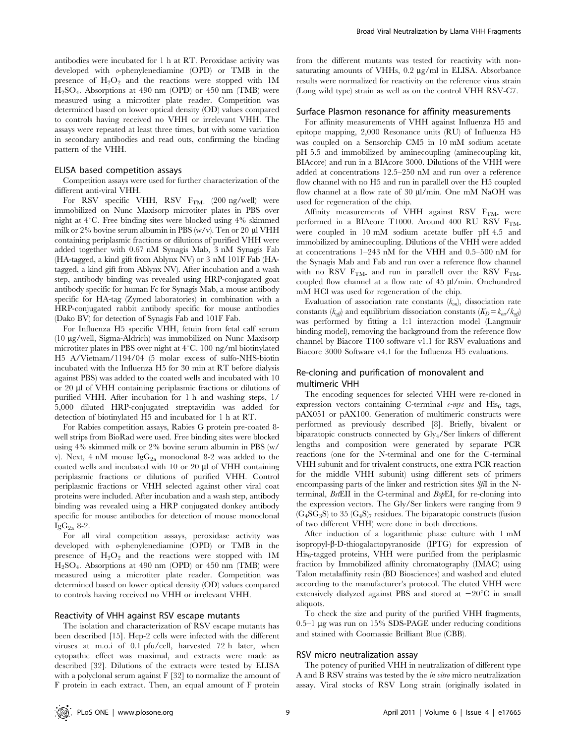antibodies were incubated for 1 h at RT. Peroxidase activity was developed with o-phenylenediamine (OPD) or TMB in the presence of  $H_2O_2$  and the reactions were stopped with 1M  $H<sub>2</sub>SO<sub>4</sub>$ . Absorptions at 490 nm (OPD) or 450 nm (TMB) were measured using a microtiter plate reader. Competition was determined based on lower optical density (OD) values compared to controls having received no VHH or irrelevant VHH. The assays were repeated at least three times, but with some variation in secondary antibodies and read outs, confirming the binding pattern of the VHH.

#### ELISA based competition assays

Competition assays were used for further characterization of the different anti-viral VHH.

For RSV specific VHH, RSV F<sub>TM-</sub> (200 ng/well) were immobilized on Nunc Maxisorp microtiter plates in PBS over night at  $4^{\circ}$ C. Free binding sites were blocked using  $4\%$  skimmed milk or  $2\%$  bovine serum albumin in PBS (w/v). Ten or  $20 \mu$  VHH containing periplasmic fractions or dilutions of purified VHH were added together with 0.67 nM Synagis Mab, 3 nM Synagis Fab (HA-tagged, a kind gift from Ablynx NV) or 3 nM 101F Fab (HAtagged, a kind gift from Ablynx NV). After incubation and a wash step, antibody binding was revealed using HRP-conjugated goat antibody specific for human Fc for Synagis Mab, a mouse antibody specific for HA-tag (Zymed laboratories) in combination with a HRP-conjugated rabbit antibody specific for mouse antibodies (Dako BV) for detection of Synagis Fab and 101F Fab.

For Influenza H5 specific VHH, fetuin from fetal calf serum (10 mg/well, Sigma-Aldrich) was immobilized on Nunc Maxisorp microtiter plates in PBS over night at  $4^{\circ}$ C. 100 ng/ml biotinylated H5 A/Vietnam/1194/04 (5 molar excess of sulfo-NHS-biotin incubated with the Influenza H5 for 30 min at RT before dialysis against PBS) was added to the coated wells and incubated with 10 or 20 ml of VHH containing periplasmic fractions or dilutions of purified VHH. After incubation for 1 h and washing steps, 1/ 5,000 diluted HRP-conjugated streptavidin was added for detection of biotinylated H5 and incubated for 1 h at RT.

For Rabies competition assays, Rabies G protein pre-coated 8 well strips from BioRad were used. Free binding sites were blocked using 4% skimmed milk or 2% bovine serum albumin in PBS (w/ v). Next, 4 nM mouse  $IgG_{2a}$  monoclonal 8-2 was added to the coated wells and incubated with  $10$  or  $20 \mu$  of VHH containing periplasmic fractions or dilutions of purified VHH. Control periplasmic fractions or VHH selected against other viral coat proteins were included. After incubation and a wash step, antibody binding was revealed using a HRP conjugated donkey antibody specific for mouse antibodies for detection of mouse monoclonal  $IgG_{2a}$  8-2.

For all viral competition assays, peroxidase activity was developed with o-phenylenediamine (OPD) or TMB in the presence of  $H_2O_2$  and the reactions were stopped with 1M  $H<sub>2</sub>SO<sub>4</sub>$ . Absorptions at 490 nm (OPD) or 450 nm (TMB) were measured using a microtiter plate reader. Competition was determined based on lower optical density (OD) values compared to controls having received no VHH or irrelevant VHH.

#### Reactivity of VHH against RSV escape mutants

The isolation and characterization of RSV escape mutants has been described [15]. Hep-2 cells were infected with the different viruses at m.o.i of 0.1 pfu/cell, harvested 72 h later, when cytopathic effect was maximal, and extracts were made as described [32]. Dilutions of the extracts were tested by ELISA with a polyclonal serum against F [32] to normalize the amount of F protein in each extract. Then, an equal amount of F protein from the different mutants was tested for reactivity with nonsaturating amounts of VHHs,  $0.2 \mu g/ml$  in ELISA. Absorbance results were normalized for reactivity on the reference virus strain (Long wild type) strain as well as on the control VHH RSV-C7.

#### Surface Plasmon resonance for affinity measurements

For affinity measurements of VHH against Influenza H5 and epitope mapping, 2,000 Resonance units (RU) of Influenza H5 was coupled on a Sensorchip CM5 in 10 mM sodium acetate pH 5.5 and immobilized by aminecoupling (aminecoupling kit, BIAcore) and run in a BIAcore 3000. Dilutions of the VHH were added at concentrations 12.5–250 nM and run over a reference flow channel with no H5 and run in parallell over the H5 coupled flow channel at a flow rate of  $30 \mu l/min$ . One mM NaOH was used for regeneration of the chip.

Affinity measurements of VHH against RSV  $F<sub>TM</sub>$  were performed in a BIAcore T1000. Around 400 RU RSV  $F_{TM}$ . were coupled in 10 mM sodium acetate buffer pH 4.5 and immobilized by aminecoupling. Dilutions of the VHH were added at concentrations 1–243 nM for the VHH and 0.5–500 nM for the Synagis Mab and Fab and run over a reference flow channel with no RSV  $F<sub>TM</sub>$  and run in parallell over the RSV  $F<sub>TM</sub>$ coupled flow channel at a flow rate of  $45 \mu$ l/min. Onehundred mM HCl was used for regeneration of the chip.

Evaluation of association rate constants  $(k_{on})$ , dissociation rate constants ( $k_{off}$ ) and equilibrium dissociation constants ( $K_D = k_{on}/k_{off}$ ) was performed by fitting a 1:1 interaction model (Langmuir binding model), removing the background from the reference flow channel by Biacore T100 software v1.1 for RSV evaluations and Biacore 3000 Software v4.1 for the Influenza H5 evaluations.

#### Re-cloning and purification of monovalent and multimeric VHH

The encoding sequences for selected VHH were re-cloned in expression vectors containing C-terminal  $c$ -myc and His<sub>6</sub> tags, pAX051 or pAX100. Generation of multimeric constructs were performed as previously described [8]. Briefly, bivalent or biparatopic constructs connected by Gly4/Ser linkers of different lengths and composition were generated by separate PCR reactions (one for the N-terminal and one for the C-terminal VHH subunit and for trivalent constructs, one extra PCR reaction for the middle VHH subunit) using different sets of primers encompassing parts of the linker and restriction sites SfiI in the Nterminal,  $B<sub>st</sub>EII$  in the C-terminal and  $B<sub>st</sub>EII$ , for re-cloning into the expression vectors. The Gly/Ser linkers were ranging from 9  $(G<sub>4</sub>SG<sub>3</sub>S)$  to 35  $(G<sub>4</sub>S)<sub>7</sub>$  residues. The biparatopic constructs (fusion of two different VHH) were done in both directions.

After induction of a logarithmic phase culture with 1 mM isopropyl- $\beta$ -D-thiogalactopyranoside (IPTG) for expression of His<sup>6</sup> -tagged proteins, VHH were purified from the periplasmic fraction by Immobilized affinity chromatography (IMAC) using Talon metalaffinity resin (BD Biosciences) and washed and eluted according to the manufacturer's protocol. The eluted VHH were extensively dialyzed against PBS and stored at  $-20^{\circ}$ C in small aliquots.

To check the size and purity of the purified VHH fragments, 0.5–1  $\mu$ g was run on 15% SDS-PAGE under reducing conditions and stained with Coomassie Brilliant Blue (CBB).

#### RSV micro neutralization assay

The potency of purified VHH in neutralization of different type A and B RSV strains was tested by the in vitro micro neutralization assay. Viral stocks of RSV Long strain (originally isolated in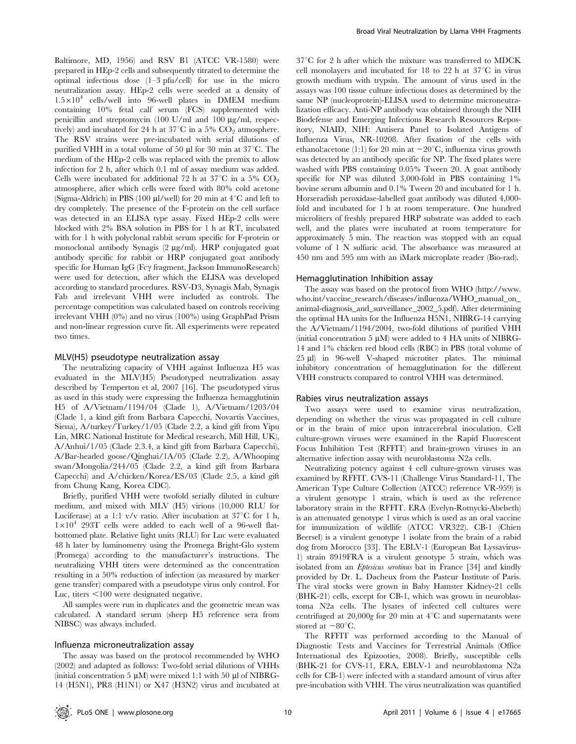Baltimore, MD, 1956) and RSV B1 (ATCC VR-1580) were prepared in HEp-2 cells and subsequently titrated to determine the optimal infectious dose (1–3 pfu/cell) for use in the micro neutralization assay. HEp-2 cells were seeded at a density of  $1.5\times10^4$  cells/well into 96-well plates in DMEM medium containing 10% fetal calf serum (FCS) supplemented with penicillin and streptomycin (100 U/ml and 100 µg/ml, respectively) and incubated for 24 h at 37 $\mathrm{^{\circ}C}$  in a 5%  $\mathrm{CO}_2$  atmosphere. The RSV strains were pre-incubated with serial dilutions of purified VHH in a total volume of 50  $\mu$ l for 30 min at 37 $\mathrm{^{\circ}C}$ . The medium of the HEp-2 cells was replaced with the premix to allow infection for 2 h, after which 0.1 ml of assay medium was added. Cells were incubated for additional 72 h at  $37^{\circ}$ C in a 5% CO<sub>2</sub> atmosphere, after which cells were fixed with 80% cold acetone (Sigma-Aldrich) in PBS (100  $\mu$ I/well) for 20 min at 4<sup>°</sup>C and left to dry completely. The presence of the F-protein on the cell surface was detected in an ELISA type assay. Fixed HEp-2 cells were blocked with 2% BSA solution in PBS for 1 h at RT, incubated with for 1 h with polyclonal rabbit serum specific for F-protein or monoclonal antibody Synagis (2 mg/ml). HRP conjugated goat antibody specific for rabbit or HRP conjugated goat antibody specific for Human IgG (Fc $\gamma$  fragment, Jackson ImmunoResearch) were used for detection, after which the ELISA was developed according to standard procedures. RSV-D3, Synagis Mab, Synagis Fab and irrelevant VHH were included as controls. The percentage competition was calculated based on controls receiving irrelevant VHH (0%) and no virus (100%) using GraphPad Prism and non-linear regression curve fit. All experiments were repeated two times.

#### MLV(H5) pseudotype neutralization assay

The neutralizing capacity of VHH against Influenza H5 was evaluated in the MLV(H5) Pseudotyped neutralization assay described by Temperton et al, 2007 [16]. The pseudotyped virus as used in this study were expressing the Influenza hemagglutinin H5 of A/Vietnam/1194/04 (Clade 1), A/Vietnam/1203/04 (Clade 1, a kind gift from Barbara Capecchi, Novartis Vaccines, Siena), A/turkey/Turkey/1/05 (Clade 2.2, a kind gift from Yipu Lin, MRC National Institute for Medical research, Mill Hill, UK), A/Anhui/1/05 (Clade 2.3.4, a kind gift from Barbara Capecchi), A/Bar-headed goose/Qinghai/1A/05 (Clade 2.2), A/Whooping swan/Mongolia/244/05 (Clade 2.2, a kind gift from Barbara Capecchi) and A/chicken/Korea/ES/03 (Clade 2.5, a kind gift from Chung Kang, Korea CDC).

Briefly, purified VHH were twofold serially diluted in culture medium, and mixed with MLV (H5) virions (10,000 RLU for Luciferase) at a 1:1 v/v ratio. After incubation at  $37^{\circ}$ C for 1 h,  $1\times10^4$  293T cells were added to each well of a 96-well flatbottomed plate. Relative light units (RLU) for Luc were evaluated 48 h later by luminometry using the Promega Bright-Glo system (Promega) according to the manufacturer's instructions. The neutralizing VHH titers were determined as the concentration resulting in a 50% reduction of infection (as measured by marker gene transfer) compared with a pseudotype virus only control. For Luc, titers  $<$ 100 were designated negative.

All samples were run in duplicates and the geometric mean was calculated. A standard serum (sheep H5 reference sera from NIBSC) was always included.

#### Influenza microneutralization assay

The assay was based on the protocol recommended by WHO (2002) and adapted as follows: Two-fold serial dilutions of VHHs (initial concentration 5  $\mu$ M) were mixed 1:1 with 50  $\mu$ l of NIBRG-14 (H5N1), PR8 (H1N1) or X47 (H3N2) virus and incubated at

 $37^{\circ}$ C for 2 h after which the mixture was transferred to MDCK cell monolayers and incubated for 18 to 22 h at  $37^{\circ}$ C in virus growth medium with trypsin. The amount of virus used in the assays was 100 tissue culture infectious doses as determined by the same NP (nucleoprotein)-ELISA used to determine microneutralization efficacy. Anti-NP antibody was obtained through the NIH Biodefense and Emerging Infections Research Resources Repository, NIAID, NIH: Antisera Panel to Isolated Antigens of Influenza Virus, NR-10208. After fixation of the cells with ethanol: acetone (1:1) for 20 min at  $-20^{\circ}$ C, influenza virus growth was detected by an antibody specific for NP. The fixed plates were washed with PBS containing 0.05% Tween 20. A goat antibody specific for NP was diluted 3,000-fold in PBS containing 1% bovine serum albumin and 0.1% Tween 20 and incubated for 1 h. Horseradish peroxidase-labelled goat antibody was diluted 4,000 fold and incubated for 1 h at room temperature. One hundred microliters of freshly prepared HRP substrate was added to each well, and the plates were incubated at room temperature for approximately 5 min. The reaction was stopped with an equal volume of 1 N sulfuric acid. The absorbance was measured at 450 nm and 595 nm with an iMark microplate reader (Bio-rad).

#### Hemagglutination Inhibition assay

The assay was based on the protocol from WHO (http://www. who.int/vaccine\_research/diseases/influenza/WHO\_manual\_on\_ animal-diagnosis\_and\_surveillance\_2002\_5.pdf). After determining the optimal HA units for the Influenza H5N1, NIBRG-14 carrying the A/Vietnam/1194/2004, two-fold dilutions of purified VHH (initial concentration 5  $\mu$ M) were added to 4 HA units of NIBRG-14 and 1% chicken red blood cells (RBC) in PBS (total volume of 25 µl) in 96-well V-shaped microtiter plates. The minimal inhibitory concentration of hemagglutination for the different VHH constructs compared to control VHH was determined.

#### Rabies virus neutralization assays

Two assays were used to examine virus neutralization, depending on whether the virus was propagated in cell culture or in the brain of mice upon intracerebral inoculation. Cell culture-grown viruses were examined in the Rapid Fluorescent Focus Inhibition Test (RFFIT) and brain-grown viruses in an alternative infection assay with neuroblastoma N2a cells.

Neutralizing potency against 4 cell culture-grown viruses was examined by RFFIT. CVS-11 (Challenge Virus Standard-11, The American Type Culture Collection (ATCC) reference VR-959) is a virulent genotype 1 strain, which is used as the reference laboratory strain in the RFFIT. ERA (Evelyn-Rotnycki-Abelseth) is an attenuated genotype 1 virus which is used as an oral vaccine for immunization of wildlife (ATCC VR322). CB-1 (Chien Beersel) is a virulent genotype 1 isolate from the brain of a rabid dog from Morocco [33]. The EBLV-1 (European Bat Lyssavirus-1) strain 8919FRA is a virulent genotype 5 strain, which was isolated from an Eptesicus serotinus bat in France [34] and kindly provided by Dr. L. Dacheux from the Pasteur Institute of Paris. The viral stocks were grown in Baby Hamster Kidney-21 cells (BHK-21) cells, except for CB-1, which was grown in neuroblastoma N2a cells. The lysates of infected cell cultures were centrifuged at 20,000g for 20 min at  $4^{\circ}$ C and supernatants were stored at  $-80^{\circ}$ C.

The RFFIT was performed according to the Manual of Diagnostic Tests and Vaccines for Terrestrial Animals (Office International des Epizooties, 2008). Briefly, susceptible cells (BHK-21 for CVS-11, ERA, EBLV-1 and neuroblastoma N2a cells for CB-1) were infected with a standard amount of virus after pre-incubation with VHH. The virus neutralization was quantified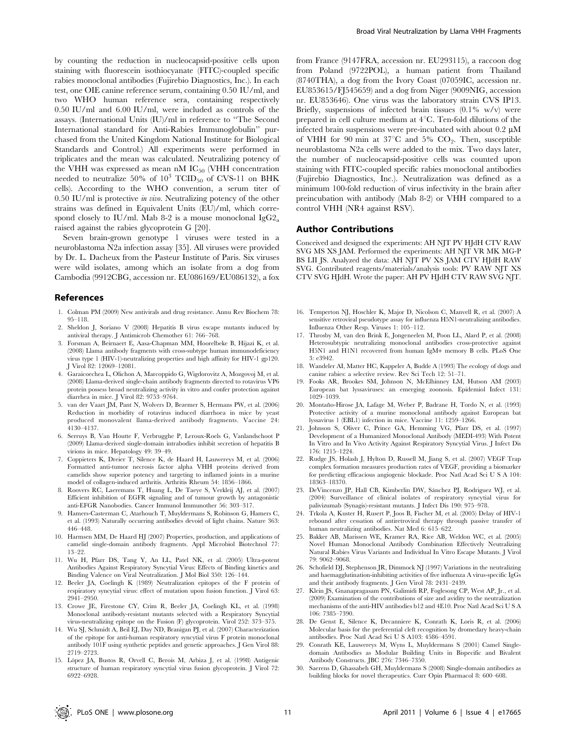by counting the reduction in nucleocapsid-positive cells upon staining with fluorescein isothiocyanate (FITC)-coupled specific rabies monoclonal antibodies (Fujirebio Diagnostics, Inc.). In each test, one OIE canine reference serum, containing 0.50 IU/ml, and two WHO human reference sera, containing respectively 0.50 IU/ml and 6.00 IU/ml, were included as controls of the assays. (International Units (IU)/ml in reference to ''The Second International standard for Anti-Rabies Immunoglobulin'' purchased from the United Kingdom National Institute for Biological Standards and Control.) All experiments were performed in triplicates and the mean was calculated. Neutralizing potency of the VHH was expressed as mean nM  $IC_{50}$  (VHH concentration needed to neutralize 50% of  $10^3$  TCID<sub>50</sub> of CVS-11 on BHK cells). According to the WHO convention, a serum titer of 0.50 IU/ml is protective in vivo. Neutralizing potency of the other strains was defined in Equivalent Units (EU)/ml, which correspond closely to IU/ml. Mab 8-2 is a mouse monoclonal  $IgG2_a$ raised against the rabies glycoprotein G [20].

Seven brain-grown genotype 1 viruses were tested in a neuroblastoma N2a infection assay [35]. All viruses were provided by Dr. L. Dacheux from the Pasteur Institute of Paris. Six viruses were wild isolates, among which an isolate from a dog from Cambodia (9912CBG, accession nr. EU086169/EU086132), a fox

#### References

- 1. Colman PM (2009) New antivirals and drug resistance. Annu Rev Biochem 78: 95–118.
- 2. Sheldon J, Soriano V (2008) Hepatitis B virus escape mutants induced by antiviral therapy. J Antimicrob Chemother 61: 766–768.
- 3. Forsman A, Beirnaert E, Aasa-Chapman MM, Hoorelbeke B, Hijazi K, et al. (2008) Llama antibody fragments with cross-subtype human immunodeficiency virus type 1 (HIV-1)-neutralizing properties and high affinity for HIV-1 gp120. J Virol 82: 12069–12081.
- 4. Garaicoechea L, Olichon A, Marcoppido G, Wigdorovitz A, Mozgovoj M, et al. (2008) Llama-derived single-chain antibody fragments directed to rotavirus VP6 protein possess broad neutralizing activity in vitro and confer protection against diarrhea in mice. J Virol 82: 9753–9764.
- 5. van der Vaart JM, Pant N, Wolvers D, Bezemer S, Hermans PW, et al. (2006) Reduction in morbidity of rotavirus induced diarrhoea in mice by yeast produced monovalent llama-derived antibody fragments. Vaccine 24: 4130–4137.
- 6. Serruys B, Van Houtte F, Verbrugghe P, Leroux-Roels G, Vanlandschoot P (2009) Llama-derived single-domain intrabodies inhibit secretion of hepatitis B virions in mice. Hepatology 49: 39–49.
- 7. Coppieters K, Dreier T, Silence K, de Haard H, Lauwereys M, et al. (2006) Formatted anti-tumor necrosis factor alpha VHH proteins derived from camelids show superior potency and targeting to inflamed joints in a murine model of collagen-induced arthritis. Arthritis Rheum 54: 1856–1866.
- 8. Roovers RC, Laeremans T, Huang L, De Taeye S, Verkleij AJ, et al. (2007) Efficient inhibition of EGFR signaling and of tumour growth by antagonistic anti-EFGR Nanobodies. Cancer Immunol Immunother 56: 303–317.
- 9. Hamers-Casterman C, Atarhouch T, Muyldermans S, Robinson G, Hamers C, et al. (1993) Naturally occurring antibodies devoid of light chains. Nature 363: 446–448.
- 10. Harmsen MM, De Haard HJ (2007) Properties, production, and applications of camelid single-domain antibody fragments. Appl Microbiol Biotechnol 77: 13–22.
- 11. Wu H, Pfarr DS, Tang Y, An LL, Patel NK, et al. (2005) Ultra-potent Antibodies Against Respiratory Syncytial Virus: Effects of Binding kinetics and Binding Valence on Viral Neutralization. J Mol Biol 350: 126–144.
- 12. Beeler JA, Coelingh K (1989) Neutralization epitopes of the F protein of respiratory syncytial virus: effect of mutation upon fusion function. J Virol 63: 2941–2950.
- 13. Crowe JE, Firestone CY, Crim R, Beeler JA, Coelingh KL, et al. (1998) Monoclonal antibody-resistant mutants selected with a Respiratory Syncytial virus-neutralizing epitope on the Fusion (F) glycoprotein. Virol 252: 373–375.
- 14. Wu SJ, Schmidt A, Beil EJ, Day ND, Branigan PJ, et al. (2007) Characterization of the epitope for anti-human respiratory syncytial virus F protein monoclonal antibody 101F using synthetic peptides and genetic approaches. J Gen Virol 88: 2719–2723.
- 15. Lo´pez JA, Bustos R, Orvell C, Berois M, Arbiza J, et al. (1998) Antigenic structure of human respiratory syncytial virus fusion glycoprotein. J Virol 72: 6922–6928.

from France (9147FRA, accession nr. EU293115), a raccoon dog from Poland (9722POL), a human patient from Thailand (8740THA), a dog from the Ivory Coast (07059IC, accession nr. EU853615/FJ545659) and a dog from Niger (9009NIG, accession nr. EU853646). One virus was the laboratory strain CVS IP13. Briefly, suspensions of infected brain tissues  $(0.1\% \text{ w/v})$  were prepared in cell culture medium at  $4^{\circ}$ C. Ten-fold dilutions of the infected brain suspensions were pre-incubated with about  $0.2 \mu M$ of VHH for 90 min at 37°C and 5%  $CO_2$ . Then, susceptible neuroblastoma N2a cells were added to the mix. Two days later, the number of nucleocapsid-positive cells was counted upon staining with FITC-coupled specific rabies monoclonal antibodies (Fujirebio Diagnostics, Inc.). Neutralization was defined as a minimum 100-fold reduction of virus infectivity in the brain after preincubation with antibody (Mab 8-2) or VHH compared to a control VHH (NR4 against RSV).

#### Author Contributions

Conceived and designed the experiments: AH NJT PV HJdH CTV RAW SVG MS XS JAM. Performed the experiments: AH NJT VR MK MG-P BS LII JS. Analyzed the data: AH NJT PV XS JAM CTV HJdH RAW SVG. Contributed reagents/materials/analysis tools: PV RAW NJT XS CTV SVG HJdH. Wrote the paper: AH PV HJdH CTV RAW SVG NJT.

- 16. Temperton NJ, Hoschler K, Major D, Nicolson C, Manvell R, et al. (2007) A sensitive retroviral pseudotype assay for influenza H5N1-neutralizing antibodies. Influenza Other Resp. Viruses 1: 105–112.
- 17. Throsby M, van den Brink E, Jongeneelen M, Poon LL, Alard P, et al. (2008) Heterosubtypic neutralizing monoclonal antibodies cross-protective against H5N1 and H1N1 recovered from human IgM+ memory B cells. PLoS One 3: e3942.
- 18. Wandeler AI, Matter HC, Kappeler A, Budde A (1993) The ecology of dogs and canine rabies: a selective review. Rev Sci Tech 12: 51–71.
- 19. Fooks AR, Brookes SM, Johnson N, McElhinney LM, Hutson AM (2003) European bat lyssaviruses: an emerging zoonosis. Epidemiol Infect 131: 1029–1039.
- 20. Montaño-Hirose JA, Lafage M, Weber P, Badrane H, Tordo N, et al. (1993) Protective activity of a murine monoclonal antibody against European bat lyssavirus 1 (EBL1) infection in mice. Vaccine 11: 1259–1266.
- 21. Johnson S, Oliver C, Prince GA, Hemming VG, Pfarr DS, et al. (1997) Development of a Humanized Monoclonal Antibody (MEDI-493) With Potent In Vitro and In Vivo Activity Against Respiratory Syncytial Virus. J Infect Dis 176: 1215–1224.
- 22. Rudge JS, Holash J, Hylton D, Russell M, Jiang S, et al. (2007) VEGF Trap complex formation measures production rates of VEGF, providing a biomarker for predicting efficacious angiogenic blockade. Proc Natl Acad Sci U S A 104: 18363–18370.
- 23. DeVincenzo JP, Hall CB, Kimberlin DW, Sánchez PJ, Rodriguez WJ, et al. (2004) Surveillance of clinical isolates of respiratory syncytial virus for palivizumab (Synagis)-resistant mutants. J Infect Dis 190: 975–978.
- 24. Trkola A, Kuster H, Rusert P, Joos B, Fischer M, et al. (2005) Delay of HIV-1 rebound after cessation of antiretroviral therapy through passive transfer of human neutralizing antibodies. Nat Med 6: 615–622.
- 25. Bakker AB, Marissen WE, Kramer RA, Rice AB, Weldon WC, et al. (2005) Novel Human Monoclonal Antibody Combination Effectively Neutralizing Natural Rabies Virus Variants and Individual In Vitro Escape Mutants. J Virol 79: 9062–9068.
- 26. Schofield DJ, Stephenson JR, Dimmock NJ (1997) Variations in the neutralizing and haemagglutination-inhibiting activities of five influenza A virus-specific IgGs and their antibody fragments. J Gen Virol 78: 2431–2439.
- 27. Klein JS, Gnanapragasam PN, Galimidi RP, Foglesong CP, West AP, Jr., et al. (2009) Examination of the contributions of size and avidity to the neutralization mechanisms of the anti-HIV antibodies b12 and 4E10. Proc Natl Acad Sci U S A 106: 7385–7390.
- 28. De Genst E, Silence K, Decanniere K, Conrath K, Loris R, et al. (2006) Molecular basis for the preferential cleft recognition by dromedary heavy-chain antibodies. Proc Natl Acad Sci U S A103: 4586–4591.
- 29. Conrath KE, Lauwereys M, Wyns L, Muyldermans S (2001) Camel Singledomain Antibodies as Modular Building Units in Bispecific and Bivalent Antibody Constructs. JBC 276: 7346–7350.
- 30. Saerens D, Ghassabeh GH, Muyldermans S (2008) Single-domain antibodies as building blocks for novel therapeutics. Curr Opin Pharmacol 8: 600–608.